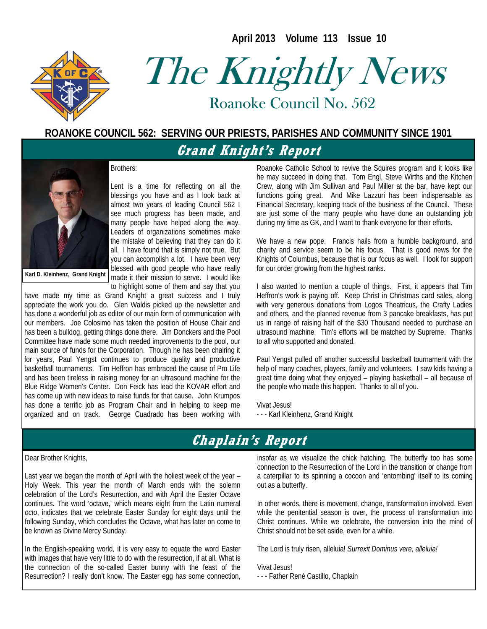**April 2013 Volume 113 Issue 10** 



# The Knightly News

Roanoke Council No. 562 Roanoke Council No. 562

#### **ROANOKE COUNCIL 562: SERVING OUR PRIESTS, PARISHES AND COMMUNITY SINCE 1901**

# **Grand Knight's Report**



#### Brothers:

Lent is a time for reflecting on all the blessings you have and as I look back at almost two years of leading Council 562 I see much progress has been made, and many people have helped along the way. Leaders of organizations sometimes make the mistake of believing that they can do it all. I have found that is simply not true. But you can accomplish a lot. I have been very blessed with good people who have really made it their mission to serve. I would like to highlight some of them and say that you

**Karl D. Kleinhenz, Grand Knight** 

have made my time as Grand Knight a great success and I truly appreciate the work you do. Glen Waldis picked up the newsletter and has done a wonderful job as editor of our main form of communication with our members. Joe Colosimo has taken the position of House Chair and has been a bulldog, getting things done there. Jim Donckers and the Pool Committee have made some much needed improvements to the pool, our main source of funds for the Corporation. Though he has been chairing it for years, Paul Yengst continues to produce quality and productive basketball tournaments. Tim Heffron has embraced the cause of Pro Life and has been tireless in raising money for an ultrasound machine for the Blue Ridge Women's Center. Don Feick has lead the KOVAR effort and has come up with new ideas to raise funds for that cause. John Krumpos has done a terrific job as Program Chair and in helping to keep me organized and on track. George Cuadrado has been working with Roanoke Catholic School to revive the Squires program and it looks like he may succeed in doing that. Tom Engl, Steve Wirths and the Kitchen Crew, along with Jim Sullivan and Paul Miller at the bar, have kept our functions going great. And Mike Lazzuri has been indispensable as Financial Secretary, keeping track of the business of the Council. These are just some of the many people who have done an outstanding job during my time as GK, and I want to thank everyone for their efforts.

We have a new pope. Francis hails from a humble background, and charity and service seem to be his focus. That is good news for the Knights of Columbus, because that is our focus as well. I look for support for our order growing from the highest ranks.

I also wanted to mention a couple of things. First, it appears that Tim Heffron's work is paying off. Keep Christ in Christmas card sales, along with very generous donations from Logos Theatricus, the Crafty Ladies and others, and the planned revenue from 3 pancake breakfasts, has put us in range of raising half of the \$30 Thousand needed to purchase an ultrasound machine. Tim's efforts will be matched by Supreme. Thanks to all who supported and donated.

Paul Yengst pulled off another successful basketball tournament with the help of many coaches, players, family and volunteers. I saw kids having a great time doing what they enjoyed – playing basketball – all because of the people who made this happen. Thanks to all of you.

Vivat Jesus! - - - Karl Kleinhenz, Grand Knight

# **Chaplain's Report**

#### Dear Brother Knights,

Last year we began the month of April with the holiest week of the year – Holy Week. This year the month of March ends with the solemn celebration of the Lord's Resurrection, and with April the Easter Octave continues. The word 'octave,' which means eight from the Latin numeral *octo*, indicates that we celebrate Easter Sunday for eight days until the following Sunday, which concludes the Octave, what has later on come to be known as Divine Mercy Sunday.

In the English-speaking world, it is very easy to equate the word Easter with images that have very little to do with the resurrection, if at all. What is the connection of the so-called Easter bunny with the feast of the Resurrection? I really don't know. The Easter egg has some connection,

insofar as we visualize the chick hatching. The butterfly too has some connection to the Resurrection of the Lord in the transition or change from a caterpillar to its spinning a cocoon and 'entombing' itself to its coming out as a butterfly.

In other words, there is movement, change, transformation involved. Even while the penitential season is over, the process of transformation into Christ continues. While we celebrate, the conversion into the mind of Christ should not be set aside, even for a while.

The Lord is truly risen, alleluia! *Surrexit Dominus vere, alleluia!*

Vivat Jesus! - - - Father René Castillo, Chaplain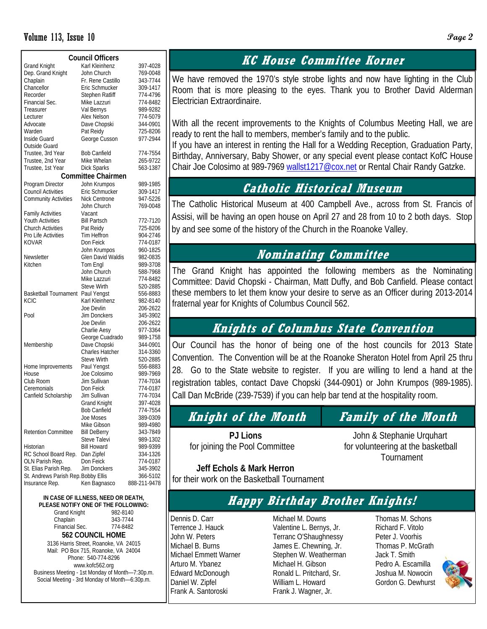#### Volume 113, Issue 10 **Page 2**

| <b>Council Officers</b>             |                        |              |  |  |  |  |  |  |  |
|-------------------------------------|------------------------|--------------|--|--|--|--|--|--|--|
| <b>Grand Knight</b>                 | Karl Kleinhenz         | 397-4028     |  |  |  |  |  |  |  |
| Dep. Grand Knight                   | John Church            | 769-0048     |  |  |  |  |  |  |  |
| Chaplain                            | Fr. Rene Castillo      | 343-7744     |  |  |  |  |  |  |  |
| Chancellor                          | Eric Schmucker         | 309-1417     |  |  |  |  |  |  |  |
| Recorder                            | Stephen Ratliff        | 774-4796     |  |  |  |  |  |  |  |
| Financial Sec.                      | Mike Lazzuri           | 774-8482     |  |  |  |  |  |  |  |
| Treasurer                           | Val Bernys             | 989-9282     |  |  |  |  |  |  |  |
| Lecturer                            | Alex Nelson            | 774-5079     |  |  |  |  |  |  |  |
| Advocate                            | Dave Chopski           | 344-0901     |  |  |  |  |  |  |  |
| Warden                              | Pat Reidy              | 725-8206     |  |  |  |  |  |  |  |
| Inside Guard                        | George Cusson          | 977-2944     |  |  |  |  |  |  |  |
| Outside Guard                       |                        |              |  |  |  |  |  |  |  |
| Trustee, 3rd Year                   | <b>Bob Canfield</b>    | 774-7554     |  |  |  |  |  |  |  |
| Trustee, 2nd Year                   | Mike Whelan            | 265-9722     |  |  |  |  |  |  |  |
|                                     |                        | 563-1387     |  |  |  |  |  |  |  |
| Trustee, 1st Year                   | Dick Sparks            |              |  |  |  |  |  |  |  |
| <b>Committee Chairmen</b>           |                        |              |  |  |  |  |  |  |  |
| Program Director                    | John Krumpos           | 989-1985     |  |  |  |  |  |  |  |
| <b>Council Activities</b>           | Eric Schmucker         | 309-1417     |  |  |  |  |  |  |  |
| <b>Community Activities</b>         | Nick Centrone          | 947-5226     |  |  |  |  |  |  |  |
|                                     | John Church            | 769-0048     |  |  |  |  |  |  |  |
| <b>Family Activities</b>            | Vacant                 |              |  |  |  |  |  |  |  |
| <b>Youth Activities</b>             | <b>Bill Partsch</b>    | 772-7120     |  |  |  |  |  |  |  |
| <b>Church Activities</b>            | Pat Reidy              | 725-8206     |  |  |  |  |  |  |  |
| Pro Life Activities                 | Tim Heffron            | 904-2746     |  |  |  |  |  |  |  |
| <b>KOVAR</b>                        | Don Feick              | 774-0187     |  |  |  |  |  |  |  |
|                                     | John Krumpos           | 960-1825     |  |  |  |  |  |  |  |
| Newsletter                          | Glen David Waldis      | 982-0835     |  |  |  |  |  |  |  |
| Kitchen                             | Tom Engl               | 989-3708     |  |  |  |  |  |  |  |
|                                     | John Church            | 588-7968     |  |  |  |  |  |  |  |
|                                     | Mike Lazzuri           | 774-8482     |  |  |  |  |  |  |  |
|                                     | Steve Wirth            | 520-2885     |  |  |  |  |  |  |  |
| <b>Basketball Tournament</b>        | Paul Yengst            | 556-8883     |  |  |  |  |  |  |  |
| <b>KCIC</b>                         | Karl Kleinhenz         | 982-8140     |  |  |  |  |  |  |  |
|                                     | Joe Devlin             | 206-2622     |  |  |  |  |  |  |  |
| Pool                                | Jim Donckers           | 345-3902     |  |  |  |  |  |  |  |
|                                     | Joe Devlin             | 206-2622     |  |  |  |  |  |  |  |
|                                     | Charlie Aesy           | 977-3364     |  |  |  |  |  |  |  |
|                                     | George Cuadrado        | 989-1758     |  |  |  |  |  |  |  |
| Membership                          | Dave Chopski           | 344-0901     |  |  |  |  |  |  |  |
|                                     | <b>Charles Hatcher</b> | 314-3360     |  |  |  |  |  |  |  |
|                                     | <b>Steve Wirth</b>     | 520-2885     |  |  |  |  |  |  |  |
| Home Improvements                   | Paul Yengst            | 556-8883     |  |  |  |  |  |  |  |
| House                               | Joe Colosimo           | 989-7969     |  |  |  |  |  |  |  |
| Club Room                           | Jim Sullivan           |              |  |  |  |  |  |  |  |
|                                     |                        | 774-7034     |  |  |  |  |  |  |  |
| Ceremonials                         | Don Feick              | 774-0187     |  |  |  |  |  |  |  |
| Canfield Scholarship                | Jim Sullivan           | 774-7034     |  |  |  |  |  |  |  |
|                                     | Grand Knight           | 397-4028     |  |  |  |  |  |  |  |
|                                     | <b>Bob Canfield</b>    | 774-7554     |  |  |  |  |  |  |  |
|                                     | Joe Moses              | 389-0309     |  |  |  |  |  |  |  |
|                                     | Mike Gibson            | 989-4980     |  |  |  |  |  |  |  |
| <b>Retention Committee</b>          | <b>Bill DeBerry</b>    | 343-7849     |  |  |  |  |  |  |  |
|                                     | Steve Talevi           | 989-1302     |  |  |  |  |  |  |  |
| Historian                           | <b>Bill Howard</b>     | 989-9399     |  |  |  |  |  |  |  |
| RC School Board Rep.                | Dan Zipfel             | 334-1326     |  |  |  |  |  |  |  |
| OLN Parish Rep.                     | Don Feick              | 774-0187     |  |  |  |  |  |  |  |
| St. Elias Parish Rep.               | <b>Jim Donckers</b>    | 345-3902     |  |  |  |  |  |  |  |
| St. Andrews Parish Rep. Bobby Ellis |                        | 366-5102     |  |  |  |  |  |  |  |
| Insurance Rep.                      | Ken Bagnasco           | 888-211-9478 |  |  |  |  |  |  |  |
|                                     |                        |              |  |  |  |  |  |  |  |

**IN CASE OF ILLNESS, NEED OR DEATH, PLEASE NOTIFY ONE OF THE FOLLOWING:**  Grand Knight 982-8140 Chaplain 343-7744<br>Financial Sec. 774-8482 Financial Sec. **562 COUNCIL HOME**  3136 Harris Street, Roanoke, VA 24015 Mail: PO Box 715, Roanoke, VA 24004 Phone: 540-774-8296 www.kofc562.org Business Meeting - 1st Monday of Month—7:30p.m. Social Meeting - 3rd Monday of Month—6:30p.m.

## **KC House Committee Korner**

We have removed the 1970's style strobe lights and now have lighting in the Club Room that is more pleasing to the eyes. Thank you to Brother David Alderman Electrician Extraordinaire.

With all the recent improvements to the Knights of Columbus Meeting Hall, we are ready to rent the hall to members, member's family and to the public.

If you have an interest in renting the Hall for a Wedding Reception, Graduation Party, Birthday, Anniversary, Baby Shower, or any special event please contact KofC House Chair Joe Colosimo at 989-7969 wallst1217@cox.net or Rental Chair Randy Gatzke.

#### **Catholic Historical Museum**

The Catholic Historical Museum at 400 Campbell Ave., across from St. Francis of Assisi, will be having an open house on April 27 and 28 from 10 to 2 both days. Stop by and see some of the history of the Church in the Roanoke Valley.

#### **Nominating Committee**

The Grand Knight has appointed the following members as the Nominating Committee: David Chopski - Chairman, Matt Duffy, and Bob Canfield. Please contact these members to let them know your desire to serve as an Officer during 2013-2014 fraternal year for Knights of Columbus Council 562.

# **Knights of Columbus State Convention**

Our Council has the honor of being one of the host councils for 2013 State Convention. The Convention will be at the Roanoke Sheraton Hotel from April 25 thru 28. Go to the State website to register. If you are willing to lend a hand at the registration tables, contact Dave Chopski (344-0901) or John Krumpos (989-1985). Call Dan McBride (239-7539) if you can help bar tend at the hospitality room.

# **Knight of the Month Family of the Month**

 **PJ Lions** John & Stephanie Urquhart for joining the Pool Committee for volunteering at the basketball Tournament

 **Jeff Echols & Mark Herron**  for their work on the Basketball Tournament

# **Happy Birthday Brother Knights!**

Dennis D. Carr Terrence J. Hauck John W. Peters Michael B. Burns Michael Emmett Warner Arturo M. Ybanez Edward McDonough Daniel W. Zipfel Frank A. Santoroski

Michael M. Downs Valentine L. Bernys, Jr. Terranc O'Shaughnessy James E. Chewning, Jr. Stephen W. Weatherman Michael H. Gibson Ronald L. Pritchard, Sr. William L. Howard Frank J. Wagner, Jr.

Thomas M. Schons Richard F. Vitolo Peter J. Voorhis Thomas P. McGrath Jack T. Smith Pedro A. Escamilla Joshua M. Nowocin Gordon G. Dewhurst

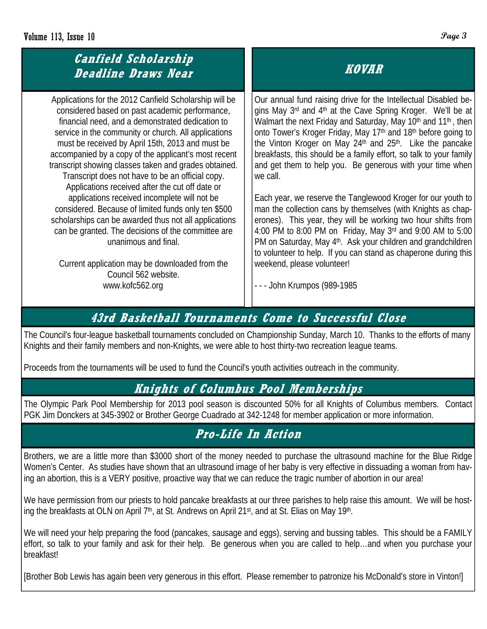## **Canfield Scholarship Deadline Draws Near**

Applications for the 2012 Canfield Scholarship will be considered based on past academic performance, financial need, and a demonstrated dedication to service in the community or church. All applications must be received by April 15th, 2013 and must be accompanied by a copy of the applicant's most recent transcript showing classes taken and grades obtained. Transcript does not have to be an official copy. Applications received after the cut off date or applications received incomplete will not be considered. Because of limited funds only ten \$500 scholarships can be awarded thus not all applications can be granted. The decisions of the committee are unanimous and final.

Current application may be downloaded from the Council 562 website. www.kofc562.org

# **KOVAR**

Our annual fund raising drive for the Intellectual Disabled begins May 3<sup>rd</sup> and 4<sup>th</sup> at the Cave Spring Kroger. We'll be at Walmart the next Friday and Saturday, May 10<sup>th</sup> and 11<sup>th</sup>, then onto Tower's Kroger Friday, May 17<sup>th</sup> and 18<sup>th</sup> before going to the Vinton Kroger on May 24<sup>th</sup> and 25<sup>th</sup>. Like the pancake breakfasts, this should be a family effort, so talk to your family and get them to help you. Be generous with your time when we call.

Each year, we reserve the Tanglewood Kroger for our youth to man the collection cans by themselves (with Knights as chaperones). This year, they will be working two hour shifts from 4:00 PM to 8:00 PM on Friday, May 3rd and 9:00 AM to 5:00 PM on Saturday, May 4<sup>th</sup>. Ask your children and grandchildren to volunteer to help. If you can stand as chaperone during this weekend, please volunteer!

- - - John Krumpos (989-1985

# **43rd Basketball Tournaments Come to Successful Close**

The Council's four-league basketball tournaments concluded on Championship Sunday, March 10. Thanks to the efforts of many Knights and their family members and non-Knights, we were able to host thirty-two recreation league teams.

Proceeds from the tournaments will be used to fund the Council's youth activities outreach in the community.

### **Knights of Columbus Pool Memberships**

The Olympic Park Pool Membership for 2013 pool season is discounted 50% for all Knights of Columbus members. Contact PGK Jim Donckers at 345-3902 or Brother George Cuadrado at 342-1248 for member application or more information.

# **Pro-Life In Action**

Brothers, we are a little more than \$3000 short of the money needed to purchase the ultrasound machine for the Blue Ridge Women's Center. As studies have shown that an ultrasound image of her baby is very effective in dissuading a woman from having an abortion, this is a VERY positive, proactive way that we can reduce the tragic number of abortion in our area!

We have permission from our priests to hold pancake breakfasts at our three parishes to help raise this amount. We will be hosting the breakfasts at OLN on April 7<sup>th</sup>, at St. Andrews on April 21<sup>st</sup>, and at St. Elias on May 19<sup>th</sup>.

We will need your help preparing the food (pancakes, sausage and eggs), serving and bussing tables. This should be a FAMILY effort, so talk to your family and ask for their help. Be generous when you are called to help…and when you purchase your breakfast!

[Brother Bob Lewis has again been very generous in this effort. Please remember to patronize his McDonald's store in Vinton!]